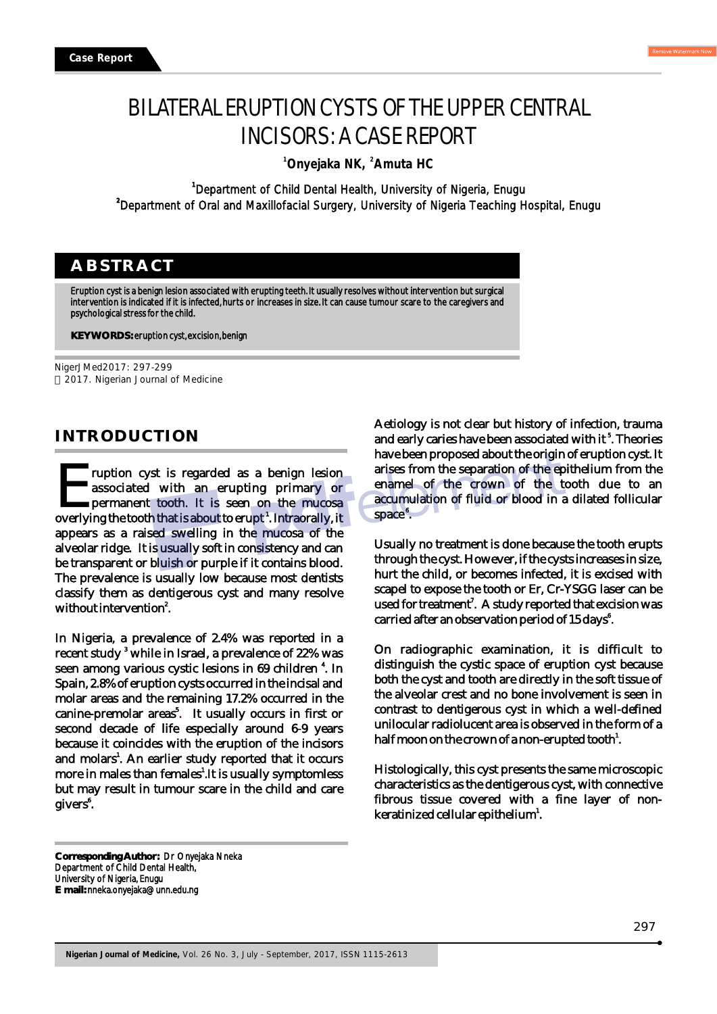# BILATERAL ERUPTION CYSTS OF THE UPPER CENTRAL INCISORS: A CASE REPORT

**<sup>1</sup> <sup>2</sup> Onyejaka NK, Amuta HC**

**1** Department of Child Dental Health, University of Nigeria, Enugu **<sup>2</sup>**Department of Oral and Maxillofacial Surgery, University of Nigeria Teaching Hospital, Enugu

## **ABSTRACT**

Eruption cyst is a benign lesion associated with erupting teeth. It usually resolves without intervention but surgical intervention is indicated if it is infected, hurts or increases in size. It can cause tumour scare to the caregivers and psychological stress for the child.

**KEY WORDS:** eruption cyst, excision, benign

NigerJMed2017: 297-299 2017. Nigerian Journal of Medicine

### **INTRODUCTION**

**Truption cyst is regarded as a benign lesion 1** Truption cyst is regarded as a benign lesion associated with an erupting primary or permanent tooth. It is seen on the mucosa overlying the tooth that is about to erupt<sup>1</sup>. Intraorally, it appears as a raised swelling in the mucosa of the alveolar ridge. It is usually soft in consistency and can be transparent or bluish or purple if it contains blood. The prevalence is usually low because most dentists classify them as dentigerous cyst and many resolve without intervention<sup>2</sup>.

In Nigeria, a prevalence of 2.4% was reported in a recent study  $^{\mathrm{3}}$  while in Israel, a prevalence of 22% was seen among various cystic lesions in 69 children <sup>4</sup>. In Spain, 2.8% of eruption cysts occurred in the incisal and molar areas and the remaining 17.2% occurred in the canine-premolar areas<sup>5</sup>. It usually occurs in first or second decade of life especially around 6-9 years because it coincides with the eruption of the incisors and molars<sup>1</sup>. An earlier study reported that it occurs more in males than females<sup> $1$ </sup>. It is usually symptomless but may result in tumour scare in the child and care givers<sup>6</sup>.

Aetiology is not clear but history of infection, trauma and early caries have been associated with it<sup>5</sup>. Theories have been proposed about the origin of eruption cyst. It arises from the separation of the epithelium from the enamel of the crown of the tooth due to an accumulation of fluid or blood in a dilated follicular space<sup>®</sup>.

Usually no treatment is done because the tooth erupts through the cyst. However, if the cysts increases in size, hurt the child, or becomes infected, it is excised with scapel to expose the tooth or Er, Cr-YSGG laser can be used for treatment<sup>7</sup>. A study reported that excision was carried after an observation period of 15 days<sup>8</sup>.

On radiographic examination, it is difficult to distinguish the cystic space of eruption cyst because both the cyst and tooth are directly in the soft tissue of the alveolar crest and no bone involvement is seen in contrast to dentigerous cyst in which a well-defined unilocular radiolucent area is observed in the form of a half moon on the crown of a non-erupted tooth $^{\rm l}$ .

Histologically, this cyst presents the same microscopic characteristics as the dentigerous cyst, with connective fibrous tissue covered with a fine layer of nonkeratinized cellular epithelium<sup>1</sup>.

**Corresponding Author:** Dr Onyejaka Nneka Department of Child Dental Health, University of Nigeria, Enugu **E mail:** nneka.onyejaka@unn.edu.ng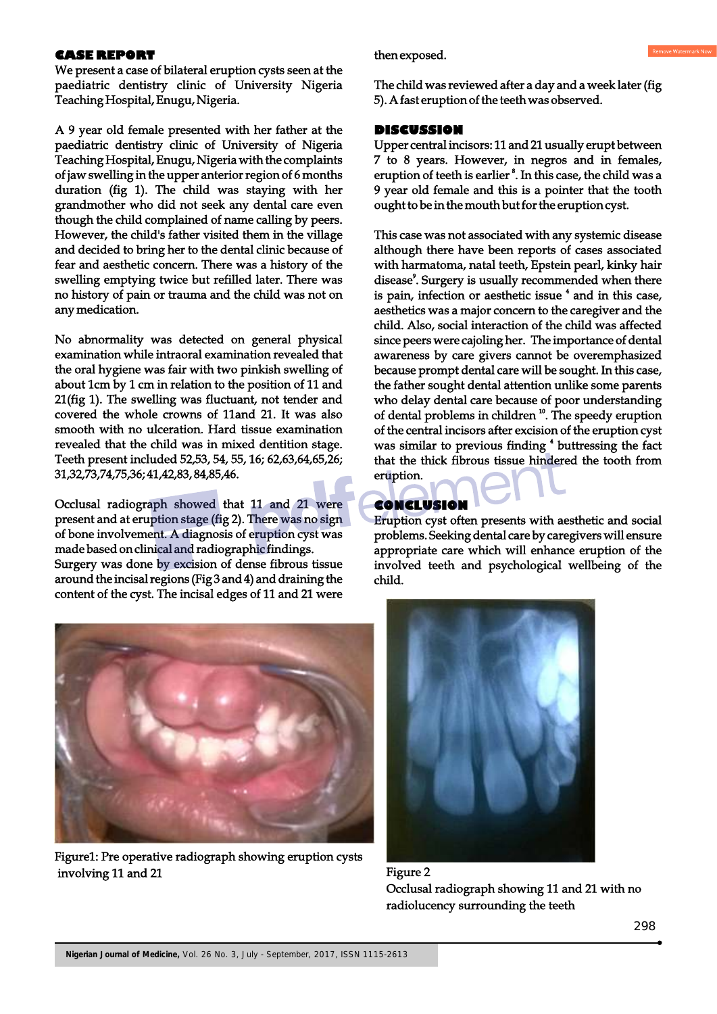#### **CASE REPORT**

We present a case of bilateral eruption cysts seen at the paediatric dentistry clinic of University Nigeria Teaching Hospital, Enugu, Nigeria.

A 9 year old female presented with her father at the paediatric dentistry clinic of University of Nigeria Teaching Hospital, Enugu, Nigeria with the complaints of jaw swelling in the upper anterior region of 6 months duration (fig 1). The child was staying with her grandmother who did not seek any dental care even though the child complained of name calling by peers. However, the child's father visited them in the village and decided to bring her to the dental clinic because of fear and aesthetic concern. There was a history of the swelling emptying twice but refilled later. There was no history of pain or trauma and the child was not on any medication.

No abnormality was detected on general physical examination while intraoral examination revealed that the oral hygiene was fair with two pinkish swelling of about 1cm by 1 cm in relation to the position of 11 and 21(fig 1). The swelling was fluctuant, not tender and covered the whole crowns of 11and 21. It was also smooth with no ulceration. Hard tissue examination revealed that the child was in mixed dentition stage. Teeth present included 52,53, 54, 55, 16; 62,63,64,65,26; 31,32,73,74,75,36; 41,42,83, 84,85,46.

Occlusal radiograph showed that 11 and 21 were present and at eruption stage (fig 2). There was no sign of bone involvement. A diagnosis of eruption cyst was made based on clinical and radiographic findings. Surgery was done by excision of dense fibrous tissue around the incisal regions (Fig 3 and 4) and draining the content of the cyst. The incisal edges of 11 and 21 were



Figure1: Pre operative radiograph showing eruption cysts involving 11 and 21 Figure 2

then exposed.

The child was reviewed after a day and a week later (fig 5). A fast eruption of the teeth was observed.

#### **DISCUSSION**

Upper central incisors: 11 and 21 usually erupt between 7 to 8 years. However, in negros and in females, eruption of teeth is earlier<sup>8</sup>. In this case, the child was a 9 year old female and this is a pointer that the tooth ought to be in the mouth but for the eruption cyst.

This case was not associated with any systemic disease although there have been reports of cases associated with harmatoma, natal teeth, Epstein pearl, kinky hair disease<sup>9</sup>. Surgery is usually recommended when there is pain, infection or aesthetic issue <sup>4</sup> and in this case, aesthetics was a major concern to the caregiver and the child. Also, social interaction of the child was affected since peers were cajoling her. The importance of dental awareness by care givers cannot be overemphasized because prompt dental care will be sought. In this case, the father sought dental attention unlike some parents who delay dental care because of poor understanding of dental problems in children  $10$ . The speedy eruption of the central incisors after excision of the eruption cyst was similar to previous finding <sup>4</sup> buttressing the fact that the thick fibrous tissue hindered the tooth from eruption.

#### **CONCLUSION**

Eruption cyst often presents with aesthetic and social problems. Seeking dental care by caregivers will ensure appropriate care which will enhance eruption of the involved teeth and psychological wellbeing of the child.



Occlusal radiograph showing 11 and 21 with no radiolucency surrounding the teeth